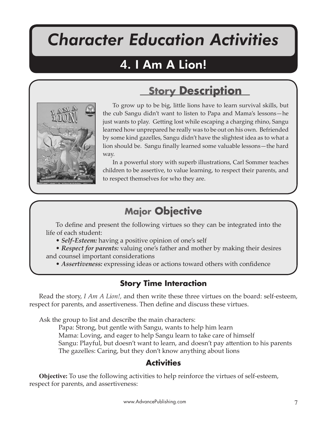# *Character Education Activities*

I Am A Lion!

## 4. I Am A Lion!



To grow up to be big, little lions have to learn survival skills, but the cub Sangu didn't want to listen to Papa and Mama's lessons—he just wants to play. Getting lost while escaping a charging rhino, Sangu learned how unprepared he really was to be out on his own. Befriended by some kind gazelles, Sangu didn't have the slightest idea as to what a lion should be. Sangu finally learned some valuable lessons—the hard way.

**Story Description**

In a powerful story with superb illustrations, Carl Sommer teaches children to be assertive, to value learning, to respect their parents, and to respect themselves for who they are.

## **Major Objective**

To define and present the following virtues so they can be integrated into the life of each student:

• *Self-Esteem:* having a positive opinion of one's self

• *Respect for parents:* valuing one's father and mother by making their desires and counsel important considerations

• *Assertiveness:* expressing ideas or actions toward others with confidence

## **Story Time Interaction**

Read the story, *I Am A Lion!,* and then write these three virtues on the board: self-esteem, respect for parents, and assertiveness. Then define and discuss these virtues.

Ask the group to list and describe the main characters:

Papa: Strong, but gentle with Sangu, wants to help him learn Mama: Loving, and eager to help Sangu learn to take care of himself Sangu: Playful, but doesn't want to learn, and doesn't pay a�ention to his parents The gazelles: Caring, but they don't know anything about lions

## **Activities**

**Objective:** To use the following activities to help reinforce the virtues of self-esteem, respect for parents, and assertiveness: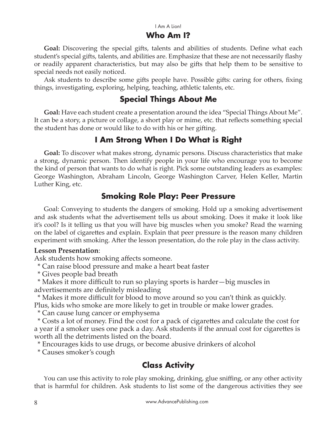#### I Am A Lion!

#### **Who Am I?**

**Goal:** Discovering the special gifts, talents and abilities of students. Define what each student's special gifts, talents, and abilities are. Emphasize that these are not necessarily flashy or readily apparent characteristics, but may also be gi�s that help them to be sensitive to special needs not easily noticed.

Ask students to describe some gifts people have. Possible gifts: caring for others, fixing things, investigating, exploring, helping, teaching, athletic talents, etc.

#### **Special Things About Me**

**Goal:** Have each student create a presentation around the idea "Special Things About Me". It can be a story, a picture or collage, a short play or mime, etc. that reflects something special the student has done or would like to do with his or her gifting.

#### **I Am Strong When I Do What is Right**

**Goal:** To discover what makes strong, dynamic persons. Discuss characteristics that make a strong, dynamic person. Then identify people in your life who encourage you to become the kind of person that wants to do what is right. Pick some outstanding leaders as examples: George Washington, Abraham Lincoln, George Washington Carver, Helen Keller, Martin Luther King, etc.

#### **Smoking Role Play: Peer Pressure**

Goal: Conveying to students the dangers of smoking. Hold up a smoking advertisement and ask students what the advertisement tells us about smoking. Does it make it look like it's cool? Is it telling us that you will have big muscles when you smoke? Read the warning on the label of cigare�es and explain. Explain that peer pressure is the reason many children experiment with smoking. After the lesson presentation, do the role play in the class activity.

#### **Lesson Presentation**:

Ask students how smoking affects someone.

\* Can raise blood pressure and make a heart beat faster

\* Gives people bad breath

 \* Makes it more difficult to run so playing sports is harder—big muscles in advertisements are definitely misleading

 \* Makes it more difficult for blood to move around so you can't think as quickly. Plus, kids who smoke are more likely to get in trouble or make lower grades.

\* Can cause lung cancer or emphysema

 \* Costs a lot of money. Find the cost for a pack of cigare�es and calculate the cost for a year if a smoker uses one pack a day. Ask students if the annual cost for cigarettes is worth all the detriments listed on the board.

\* Encourages kids to use drugs, or become abusive drinkers of alcohol

\* Causes smoker's cough

### **Class Activity**

You can use this activity to role play smoking, drinking, glue sniffing, or any other activity that is harmful for children. Ask students to list some of the dangerous activities they see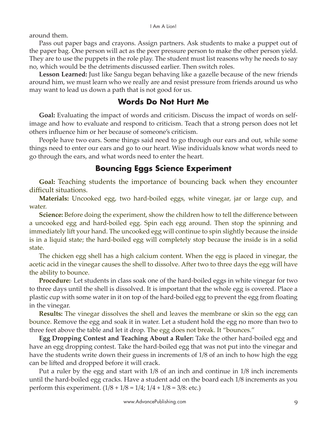around them.

Pass out paper bags and crayons. Assign partners. Ask students to make a puppet out of the paper bag. One person will act as the peer pressure person to make the other person yield. They are to use the puppets in the role play. The student must list reasons why he needs to say no, which would be the detriments discussed earlier. Then switch roles.

**Lesson Learned:** Just like Sangu began behaving like a gazelle because of the new friends around him, we must learn who we really are and resist pressure from friends around us who may want to lead us down a path that is not good for us.

#### **Words Do Not Hurt Me**

**Goal:** Evaluating the impact of words and criticism. Discuss the impact of words on selfimage and how to evaluate and respond to criticism. Teach that a strong person does not let others influence him or her because of someone's criticism.

People have two ears. Some things said need to go through our ears and out, while some things need to enter our ears and go to our heart. Wise individuals know what words need to go through the ears, and what words need to enter the heart.

#### **Bouncing Eggs Science Experiment**

**Goal:** Teaching students the importance of bouncing back when they encounter difficult situations.

**Materials:** Uncooked egg, two hard-boiled eggs, white vinegar, jar or large cup, and water.

**Science:** Before doing the experiment, show the children how to tell the difference between a uncooked egg and hard-boiled egg. Spin each egg around. Then stop the spinning and immediately lift your hand. The uncooked egg will continue to spin slightly because the inside is in a liquid state; the hard-boiled egg will completely stop because the inside is in a solid state.

The chicken egg shell has a high calcium content. When the egg is placed in vinegar, the acetic acid in the vinegar causes the shell to dissolve. After two to three days the egg will have the ability to bounce.

**Procedure:**· Let students in class soak one of the hard-boiled eggs in white vinegar for two to three days until the shell is dissolved. It is important that the whole egg is covered. Place a plastic cup with some water in it on top of the hard-boiled egg to prevent the egg from floating in the vinegar.

**Results:** The vinegar dissolves the shell and leaves the membrane or skin so the egg can bounce. Remove the egg and soak it in water. Let a student hold the egg no more than two to three feet above the table and let it drop. The egg does not break. It "bounces."

**Egg Dropping Contest and Teaching About a Ruler:** Take the other hard-boiled egg and have an egg dropping contest. Take the hard-boiled egg that was not put into the vinegar and have the students write down their guess in increments of 1/8 of an inch to how high the egg can be lifted and dropped before it will crack.

Put a ruler by the egg and start with 1/8 of an inch and continue in 1/8 inch increments until the hard-boiled egg cracks. Have a student add on the board each 1/8 increments as you perform this experiment.  $(1/8 + 1/8 = 1/4; 1/4 + 1/8 = 3/8;$  etc.)